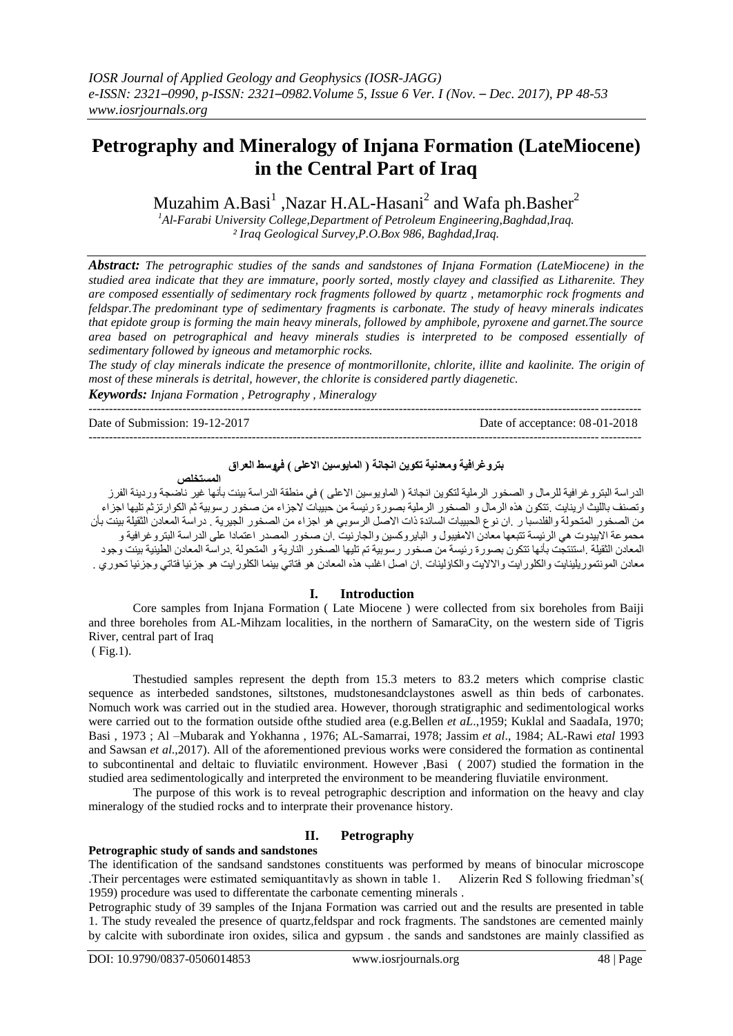# **Petrography and Mineralogy of Injana Formation (LateMiocene) in the Central Part of Iraq**

Muzahim A.Basi<sup>1</sup>, Nazar H.AL-Hasani<sup>2</sup> and Wafa ph.Basher<sup>2</sup>

*<sup>1</sup>Al-Farabi University College,Department of Petroleum Engineering,Baghdad,Iraq. ² Iraq Geological Survey,P.O.Box 986, Baghdad,Iraq.*

*Abstract: The petrographic studies of the sands and sandstones of Injana Formation (LateMiocene) in the studied area indicate that they are immature, poorly sorted, mostly clayey and classified as Litharenite. They are composed essentially of sedimentary rock fragments followed by quartz , metamorphic rock frogments and feldspar.The predominant type of sedimentary fragments is carbonate. The study of heavy minerals indicates that epidote group is forming the main heavy minerals, followed by amphibole, pyroxene and garnet.The source area based on petrographical and heavy minerals studies is interpreted to be composed essentially of sedimentary followed by igneous and metamorphic rocks.*

*The study of clay minerals indicate the presence of montmorillonite, chlorite, illite and kaolinite. The origin of most of these minerals is detrital, however, the chlorite is considered partly diagenetic. Keywords: Injana Formation , Petrography , Mineralogy*

---------------------------------------------------------------------------------------------------------------------------------------

Date of Submission: 19-12-2017 Date of acceptance: 08-01-2018

--------------------------------------------------------------------------------------------------------------------------------------*-*

# **بتروغرافية ومعدنية تكوين انجانة ) المايوسين االعلى ( فيوسط العراق**

**المستخلص**

الدراسة البتروغرافية للرمال و الصخور الرملية لتكوين انجانة ( الماويوسين الاعلى ) في منطقة الدراسة بينت بأنها غير نـآصـجة وردينة الفرز وتصنف باللبث ار بنايت .تتكون هذه الر مال و الصخور الر ملية بصور ة رئيسة من حبيبات لاجز اء من صخور ر سوبية ثم الكوار تز ثم تليها اجز اء من الصخور المتحولة والفلدسبا ر .ان نوع الحبيبات السائدة ذات الاصل الرسوبي هو اجزاء من الصخور الجيرية . دراسة المعادن الثقيلة بينت بأن محموعة الابيدوت هى الرئيسة تتبعها معادن الامفيبول و البايروكسين والجارنيت .ان صخور المصدر اعتمادا على الدراسة البتروغرافية و المعادن الثقيلة .استنتجت بأنها تتكون بصورة رئيسة من صخور رسوبية تم تليها الصخور النارية و المتحولة .دراسة المعادن الطينية بينت وجود معادن المونتمور يلينايت والكلور ايت والالايت والكاؤلينات .ان اصل اغلب هذه المعادن هو فتاتي بينما الكلور ايت هو جزئيا فتاتي وجزئيا تحوري .

# **I. Introduction**

Core samples from Injana Formation ( Late Miocene ) were collected from six boreholes from Baiji and three boreholes from AL-Mihzam localities, in the northern of SamaraCity, on the western side of Tigris River, central part of Iraq

( Fig.1).

Thestudied samples represent the depth from 15.3 meters to 83.2 meters which comprise clastic sequence as interbeded sandstones, siltstones, mudstonesandclaystones aswell as thin beds of carbonates. Nomuch work was carried out in the studied area. However, thorough stratigraphic and sedimentological works were carried out to the formation outside of the studied area (e.g.Bellen *et aL.*,1959; Kuklal and SaadaIa, 1970; Basi , 1973 ; Al –Mubarak and Yokhanna , 1976; AL-Samarrai, 1978; Jassim *et al*., 1984; AL-Rawi *etal* 1993 and Sawsan *et al*.,2017). All of the aforementioned previous works were considered the formation as continental to subcontinental and deltaic to fluviatilc environment. However ,Basi ( 2007) studied the formation in the studied area sedimentologically and interpreted the environment to be meandering fluviatile environment.

The purpose of this work is to reveal petrographic description and information on the heavy and clay mineralogy of the studied rocks and to interprate their provenance history.

# **II. Petrography**

# **Petrographic study of sands and sandstones**

The identification of the sandsand sandstones constituents was performed by means of binocular microscope .Their percentages were estimated semiquantitavly as shown in table 1. Alizerin Red S following friedman's( 1959) procedure was used to differentate the carbonate cementing minerals .

Petrographic study of 39 samples of the Injana Formation was carried out and the results are presented in table 1. The study revealed the presence of quartz,feldspar and rock fragments. The sandstones are cemented mainly by calcite with subordinate iron oxides, silica and gypsum . the sands and sandstones are mainly classified as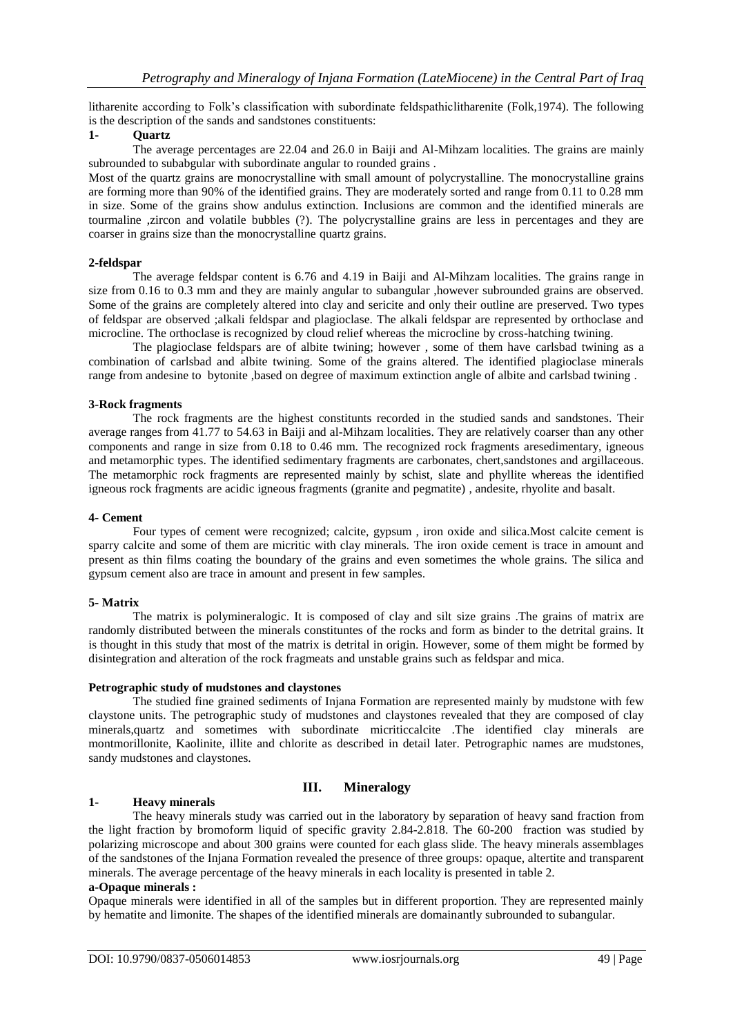litharenite according to Folk's classification with subordinate feldspathiclitharenite (Folk,1974). The following is the description of the sands and sandstones constituents:

# **1- Quartz**

The average percentages are 22.04 and 26.0 in Baiji and Al-Mihzam localities. The grains are mainly subrounded to subabgular with subordinate angular to rounded grains .

Most of the quartz grains are monocrystalline with small amount of polycrystalline. The monocrystalline grains are forming more than 90% of the identified grains. They are moderately sorted and range from 0.11 to 0.28 mm in size. Some of the grains show andulus extinction. Inclusions are common and the identified minerals are tourmaline ,zircon and volatile bubbles (?). The polycrystalline grains are less in percentages and they are coarser in grains size than the monocrystalline quartz grains.

## **2-feldspar**

The average feldspar content is 6.76 and 4.19 in Baiji and Al-Mihzam localities. The grains range in size from 0.16 to 0.3 mm and they are mainly angular to subangular , however subrounded grains are observed. Some of the grains are completely altered into clay and sericite and only their outline are preserved. Two types of feldspar are observed ;alkali feldspar and plagioclase. The alkali feldspar are represented by orthoclase and microcline. The orthoclase is recognized by cloud relief whereas the microcline by cross-hatching twining.

The plagioclase feldspars are of albite twining; however , some of them have carlsbad twining as a combination of carlsbad and albite twining. Some of the grains altered. The identified plagioclase minerals range from andesine to bytonite ,based on degree of maximum extinction angle of albite and carlsbad twining .

# **3-Rock fragments**

The rock fragments are the highest constitunts recorded in the studied sands and sandstones. Their average ranges from 41.77 to 54.63 in Baiji and al-Mihzam localities. They are relatively coarser than any other components and range in size from 0.18 to 0.46 mm. The recognized rock fragments aresedimentary, igneous and metamorphic types. The identified sedimentary fragments are carbonates, chert,sandstones and argillaceous. The metamorphic rock fragments are represented mainly by schist, slate and phyllite whereas the identified igneous rock fragments are acidic igneous fragments (granite and pegmatite) , andesite, rhyolite and basalt.

## **4- Cement**

Four types of cement were recognized; calcite, gypsum , iron oxide and silica.Most calcite cement is sparry calcite and some of them are micritic with clay minerals. The iron oxide cement is trace in amount and present as thin films coating the boundary of the grains and even sometimes the whole grains. The silica and gypsum cement also are trace in amount and present in few samples.

## **5- Matrix**

The matrix is polymineralogic. It is composed of clay and silt size grains .The grains of matrix are randomly distributed between the minerals constituntes of the rocks and form as binder to the detrital grains. It is thought in this study that most of the matrix is detrital in origin. However, some of them might be formed by disintegration and alteration of the rock fragmeats and unstable grains such as feldspar and mica.

## **Petrographic study of mudstones and claystones**

The studied fine grained sediments of Injana Formation are represented mainly by mudstone with few claystone units. The petrographic study of mudstones and claystones revealed that they are composed of clay minerals,quartz and sometimes with subordinate micriticcalcite .The identified clay minerals are montmorillonite, Kaolinite, illite and chlorite as described in detail later. Petrographic names are mudstones, sandy mudstones and claystones.

# **1- Heavy minerals**

# **III. Mineralogy**

The heavy minerals study was carried out in the laboratory by separation of heavy sand fraction from the light fraction by bromoform liquid of specific gravity 2.84-2.818. The 60-200 fraction was studied by polarizing microscope and about 300 grains were counted for each glass slide. The heavy minerals assemblages of the sandstones of the Injana Formation revealed the presence of three groups: opaque, altertite and transparent minerals. The average percentage of the heavy minerals in each locality is presented in table 2.

## **a-Opaque minerals :**

Opaque minerals were identified in all of the samples but in different proportion. They are represented mainly by hematite and limonite. The shapes of the identified minerals are domainantly subrounded to subangular.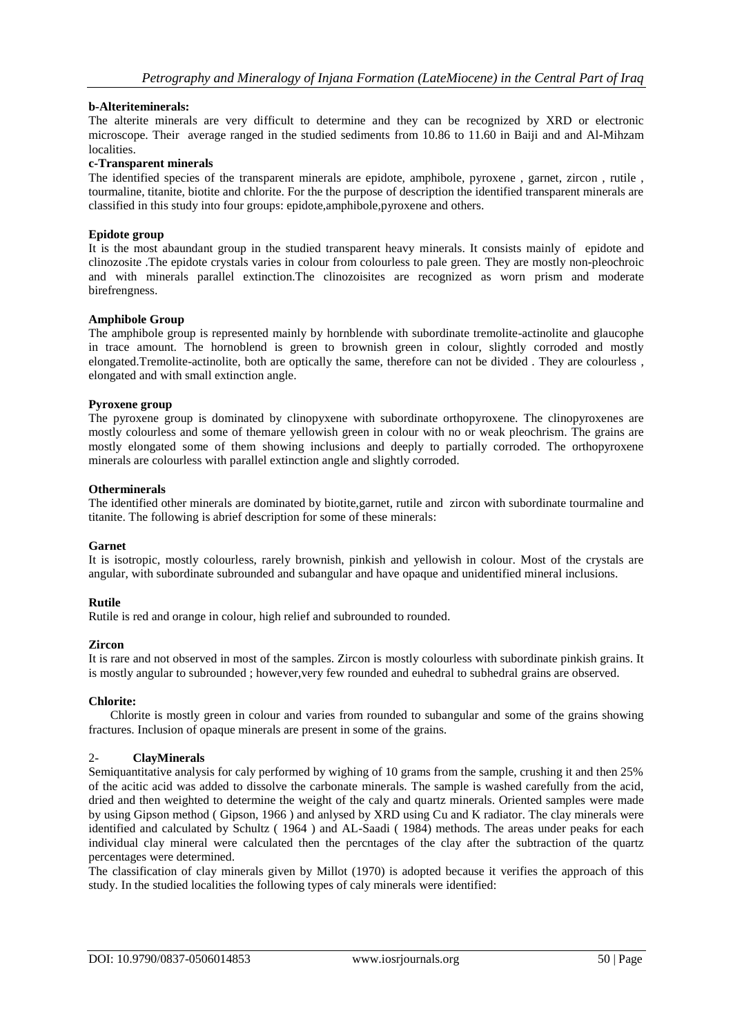# **b-Alteriteminerals:**

The alterite minerals are very difficult to determine and they can be recognized by XRD or electronic microscope. Their average ranged in the studied sediments from 10.86 to 11.60 in Baiji and and Al-Mihzam localities.

## **c-Transparent minerals**

The identified species of the transparent minerals are epidote, amphibole, pyroxene , garnet, zircon , rutile , tourmaline, titanite, biotite and chlorite. For the the purpose of description the identified transparent minerals are classified in this study into four groups: epidote,amphibole,pyroxene and others.

## **Epidote group**

It is the most abaundant group in the studied transparent heavy minerals. It consists mainly of epidote and clinozosite .The epidote crystals varies in colour from colourless to pale green. They are mostly non-pleochroic and with minerals parallel extinction.The clinozoisites are recognized as worn prism and moderate birefrengness.

#### **Amphibole Group**

The amphibole group is represented mainly by hornblende with subordinate tremolite-actinolite and glaucophe in trace amount. The hornoblend is green to brownish green in colour, slightly corroded and mostly elongated.Tremolite-actinolite, both are optically the same, therefore can not be divided . They are colourless , elongated and with small extinction angle.

#### **Pyroxene group**

The pyroxene group is dominated by clinopyxene with subordinate orthopyroxene. The clinopyroxenes are mostly colourless and some of themare yellowish green in colour with no or weak pleochrism. The grains are mostly elongated some of them showing inclusions and deeply to partially corroded. The orthopyroxene minerals are colourless with parallel extinction angle and slightly corroded.

#### **Otherminerals**

The identified other minerals are dominated by biotite,garnet, rutile and zircon with subordinate tourmaline and titanite. The following is abrief description for some of these minerals:

## **Garnet**

It is isotropic, mostly colourless, rarely brownish, pinkish and yellowish in colour. Most of the crystals are angular, with subordinate subrounded and subangular and have opaque and unidentified mineral inclusions.

## **Rutile**

Rutile is red and orange in colour, high relief and subrounded to rounded.

## **Zircon**

It is rare and not observed in most of the samples. Zircon is mostly colourless with subordinate pinkish grains. It is mostly angular to subrounded; however, very few rounded and euhedral to subhedral grains are observed.

#### **Chlorite:**

 Chlorite is mostly green in colour and varies from rounded to subangular and some of the grains showing fractures. Inclusion of opaque minerals are present in some of the grains.

### 2- **ClayMinerals**

Semiquantitative analysis for caly performed by wighing of 10 grams from the sample, crushing it and then 25% of the acitic acid was added to dissolve the carbonate minerals. The sample is washed carefully from the acid, dried and then weighted to determine the weight of the caly and quartz minerals. Oriented samples were made by using Gipson method ( Gipson, 1966 ) and anlysed by XRD using Cu and K radiator. The clay minerals were identified and calculated by Schultz ( 1964 ) and AL-Saadi ( 1984) methods. The areas under peaks for each individual clay mineral were calculated then the percntages of the clay after the subtraction of the quartz percentages were determined.

The classification of clay minerals given by Millot (1970) is adopted because it verifies the approach of this study. In the studied localities the following types of caly minerals were identified: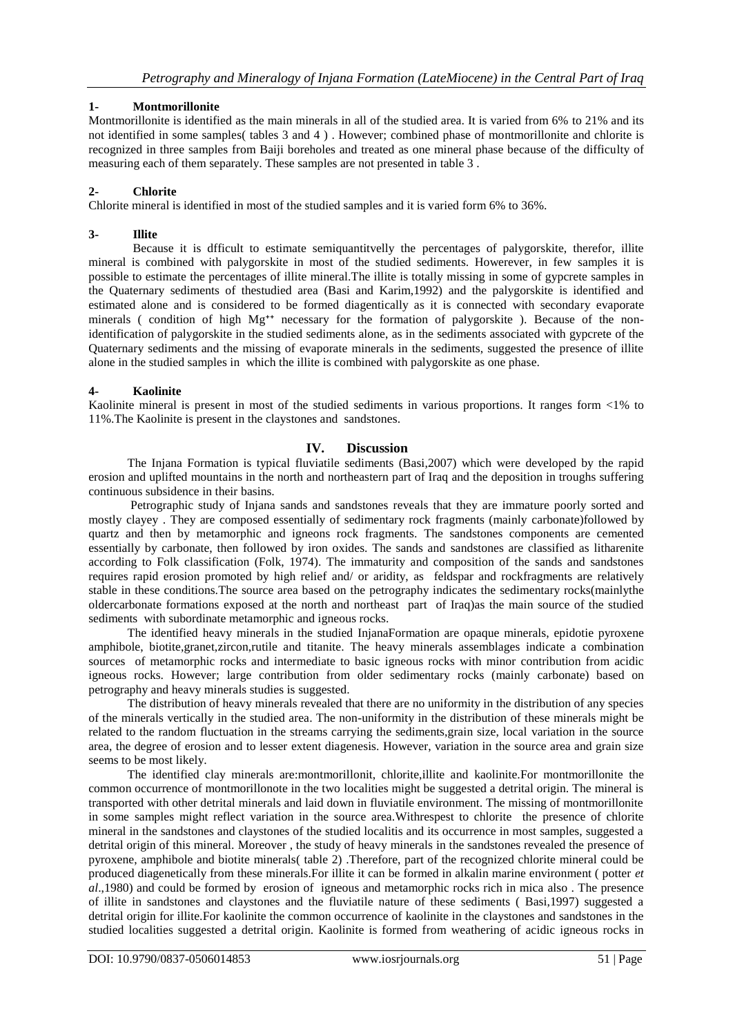# **1- Montmorillonite**

Montmorillonite is identified as the main minerals in all of the studied area. It is varied from 6% to 21% and its not identified in some samples( tables 3 and 4 ) . However; combined phase of montmorillonite and chlorite is recognized in three samples from Baiji boreholes and treated as one mineral phase because of the difficulty of measuring each of them separately. These samples are not presented in table 3 .

# **2- Chlorite**

Chlorite mineral is identified in most of the studied samples and it is varied form 6% to 36%.

# **3- Illite**

Because it is dfficult to estimate semiquantitvelly the percentages of palygorskite, therefor, illite mineral is combined with palygorskite in most of the studied sediments. Howerever, in few samples it is possible to estimate the percentages of illite mineral.The illite is totally missing in some of gypcrete samples in the Quaternary sediments of thestudied area (Basi and Karim,1992) and the palygorskite is identified and estimated alone and is considered to be formed diagentically as it is connected with secondary evaporate minerals ( condition of high Mg<sup>++</sup> necessary for the formation of palygorskite ). Because of the nonidentification of palygorskite in the studied sediments alone, as in the sediments associated with gypcrete of the Quaternary sediments and the missing of evaporate minerals in the sediments, suggested the presence of illite alone in the studied samples in which the illite is combined with palygorskite as one phase.

# **4- Kaolinite**

Kaolinite mineral is present in most of the studied sediments in various proportions. It ranges form <1% to 11%.The Kaolinite is present in the claystones and sandstones.

# **IV. Discussion**

The Injana Formation is typical fluviatile sediments (Basi,2007) which were developed by the rapid erosion and uplifted mountains in the north and northeastern part of Iraq and the deposition in troughs suffering continuous subsidence in their basins.

Petrographic study of Injana sands and sandstones reveals that they are immature poorly sorted and mostly clayey . They are composed essentially of sedimentary rock fragments (mainly carbonate)followed by quartz and then by metamorphic and igneons rock fragments. The sandstones components are cemented essentially by carbonate, then followed by iron oxides. The sands and sandstones are classified as litharenite according to Folk classification (Folk, 1974). The immaturity and composition of the sands and sandstones requires rapid erosion promoted by high relief and/ or aridity, as feldspar and rockfragments are relatively stable in these conditions.The source area based on the petrography indicates the sedimentary rocks(mainlythe oldercarbonate formations exposed at the north and northeast part of Iraq)as the main source of the studied sediments with subordinate metamorphic and igneous rocks.

The identified heavy minerals in the studied InjanaFormation are opaque minerals, epidotie pyroxene amphibole, biotite,granet,zircon,rutile and titanite. The heavy minerals assemblages indicate a combination sources of metamorphic rocks and intermediate to basic igneous rocks with minor contribution from acidic igneous rocks. However; large contribution from older sedimentary rocks (mainly carbonate) based on petrography and heavy minerals studies is suggested.

The distribution of heavy minerals revealed that there are no uniformity in the distribution of any species of the minerals vertically in the studied area. The non-uniformity in the distribution of these minerals might be related to the random fluctuation in the streams carrying the sediments,grain size, local variation in the source area, the degree of erosion and to lesser extent diagenesis. However, variation in the source area and grain size seems to be most likely.

The identified clay minerals are:montmorillonit, chlorite,illite and kaolinite.For montmorillonite the common occurrence of montmorillonote in the two localities might be suggested a detrital origin. The mineral is transported with other detrital minerals and laid down in fluviatile environment. The missing of montmorillonite in some samples might reflect variation in the source area.Withrespest to chlorite the presence of chlorite mineral in the sandstones and claystones of the studied localitis and its occurrence in most samples, suggested a detrital origin of this mineral. Moreover , the study of heavy minerals in the sandstones revealed the presence of pyroxene, amphibole and biotite minerals( table 2) .Therefore, part of the recognized chlorite mineral could be produced diagenetically from these minerals.For illite it can be formed in alkalin marine environment ( potter *et al*.,1980) and could be formed by erosion of igneous and metamorphic rocks rich in mica also . The presence of illite in sandstones and claystones and the fluviatile nature of these sediments ( Basi,1997) suggested a detrital origin for illite.For kaolinite the common occurrence of kaolinite in the claystones and sandstones in the studied localities suggested a detrital origin. Kaolinite is formed from weathering of acidic igneous rocks in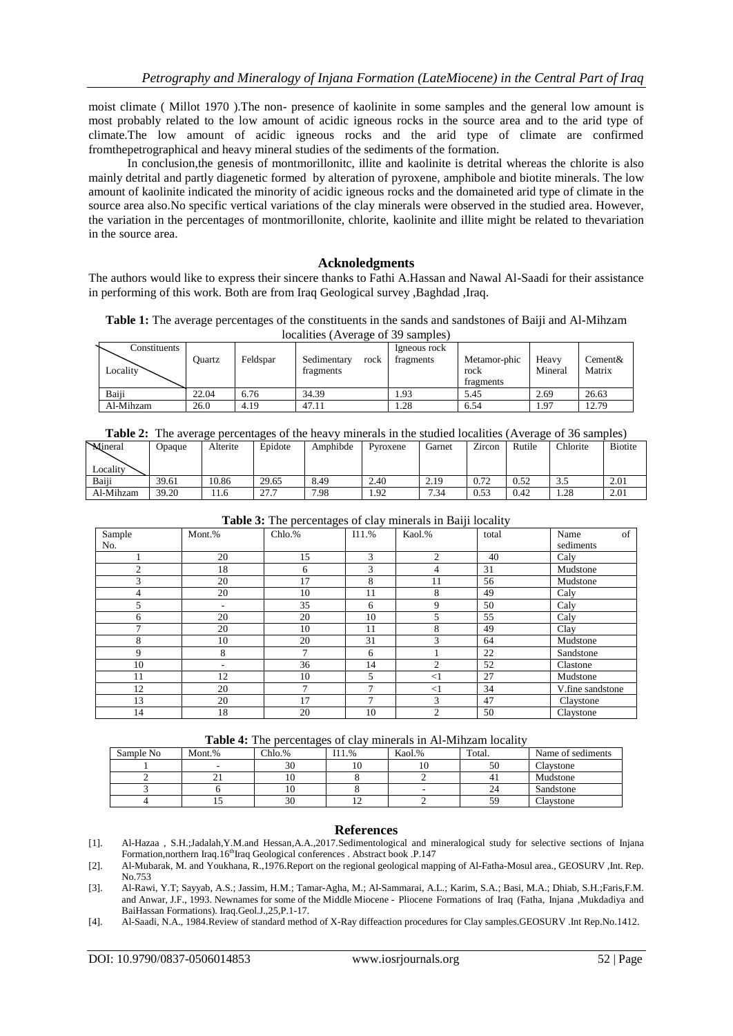moist climate ( Millot 1970 ).The non- presence of kaolinite in some samples and the general low amount is most probably related to the low amount of acidic igneous rocks in the source area and to the arid type of climate.The low amount of acidic igneous rocks and the arid type of climate are confirmed fromthepetrographical and heavy mineral studies of the sediments of the formation.

In conclusion,the genesis of montmorillonitc, illite and kaolinite is detrital whereas the chlorite is also mainly detrital and partly diagenetic formed by alteration of pyroxene, amphibole and biotite minerals. The low amount of kaolinite indicated the minority of acidic igneous rocks and the domaineted arid type of climate in the source area also.No specific vertical variations of the clay minerals were observed in the studied area. However, the variation in the percentages of montmorillonite, chlorite, kaolinite and illite might be related to thevariation in the source area.

## **Acknoledgments**

The authors would like to express their sincere thanks to Fathi A.Hassan and Nawal Al-Saadi for their assistance in performing of this work. Both are from Iraq Geological survey ,Baghdad ,Iraq.

**Table 1:** The average percentages of the constituents in the sands and sandstones of Baiji and Al-Mihzam localities (Average of 39 samples)

| Constituents<br>Locality | Ouartz | Feldspar | Sedimentary<br>rock<br>fragments | Igneous rock<br>fragments | Metamor-phic<br>rock<br>fragments | Heavy<br>Mineral | Cement&<br>Matrix |
|--------------------------|--------|----------|----------------------------------|---------------------------|-----------------------------------|------------------|-------------------|
| Baiii                    | 22.04  | 6.76     | 34.39                            | 1.93                      | 5.45                              | 2.69             | 26.63             |
| Al-Mihzam                | 26.0   | 4.19     | 47.11                            | 1.28                      | 6.54                              | 1.97             | 12.79             |

|--|

| Mineral         | Opaque | Alterite | Epidote      | Amphibde | Pyroxene | Garnet | Zircon | Rutile | Chlorite | <b>Biotite</b> |
|-----------------|--------|----------|--------------|----------|----------|--------|--------|--------|----------|----------------|
|                 |        |          |              |          |          |        |        |        |          |                |
| <b>Locality</b> |        |          |              |          |          |        |        |        |          |                |
| Baiii           | 39.61  | 10.86    | 29.65        | 8.49     | 2.40     | 2.19   | 0.72   | 0.52   | 3.5      | 2.01           |
| Al-Mihzam       | 39.20  | 11.6     | ר רר<br>41.1 | 7.98     | 1.92     | 7.34   | 0.53   | 0.42   | 1.28     | 2.01           |

| <b>Table 3.</b> The percentages of easy filmerals in Daily focality |        |                |               |                |       |                         |  |  |  |
|---------------------------------------------------------------------|--------|----------------|---------------|----------------|-------|-------------------------|--|--|--|
| Sample<br>No.                                                       | Mont.% | Chlo.%         | I11.%         | Kaol.%         | total | of<br>Name<br>sediments |  |  |  |
|                                                                     | 20     | 15             | 3             | $\mathfrak{D}$ | 40    | Caly                    |  |  |  |
| $\mathfrak{D}$                                                      | 18     | 6              | 3             | 4              | 31    | Mudstone                |  |  |  |
| 3                                                                   | 20     | 17             | 8             | 11             | 56    | Mudstone                |  |  |  |
| 4                                                                   | 20     | 10             | 11            | 8              | 49    | Caly                    |  |  |  |
| 5                                                                   |        | 35             | 6             | 9              | 50    | Caly                    |  |  |  |
| 6                                                                   | 20     | 20             | 10            | 5              | 55    | Caly                    |  |  |  |
| 7                                                                   | 20     | 10             | 11            | 8              | 49    | Clay                    |  |  |  |
| 8                                                                   | 10     | 20             | 31            | 3              | 64    | Mudstone                |  |  |  |
| 9                                                                   | 8      | 7              | 6             |                | 22    | Sandstone               |  |  |  |
| 10                                                                  |        | 36             | 14            | 2              | 52    | Clastone                |  |  |  |
| 11                                                                  | 12     | 10             | 5.            | $<$ 1          | 27    | Mudstone                |  |  |  |
| 12                                                                  | 20     | $\overline{7}$ | $\mathcal{I}$ | $<$ 1          | 34    | V.fine sandstone        |  |  |  |
| 13                                                                  | 20     | 17             | 7             | 3              | 47    | Claystone               |  |  |  |
| 14                                                                  | 18     | 20             | 10            | 2              | 50    | Claystone               |  |  |  |

**Table 3:** The percentages of clay minerals in Baiji locality

|  | <b>Table 4:</b> The percentages of clay minerals in Al-Mihzam locality |
|--|------------------------------------------------------------------------|
|  |                                                                        |

| Sample No | Mont.% | Chlo.% | 11.% | Kaol.% | Total. | Name of sediments |
|-----------|--------|--------|------|--------|--------|-------------------|
|           |        | 30     | 10   |        | 50     | Claystone         |
|           |        | 10     |      |        |        | Mudstone          |
|           |        | 10     |      | -      |        | Sandstone         |
|           |        | 30     |      |        | 59     | Claystone         |

# **References**

<sup>[1].</sup> Al-Hazaa , S.H.;Jadalah,Y.M.and Hessan,A.A.,2017.Sedimentological and mineralogical study for selective sections of Injana Formation,northern Iraq.16<sup>th</sup>Iraq Geological conferences . Abstract book .P.147

<sup>[2].</sup> Al-Mubarak, M. and Youkhana, R.,1976.Report on the regional geological mapping of Al-Fatha-Mosul area., GEOSURV ,Int. Rep. No.753

<sup>[3].</sup> Al-Rawi, Y.T; Sayyab, A.S.; Jassim, H.M.; Tamar-Agha, M.; Al-Sammarai, A.L.; Karim, S.A.; Basi, M.A.; Dhiab, S.H.;Faris,F.M. and Anwar, J.F., 1993. Newnames for some of the Middle Miocene - Pliocene Formations of Iraq (Fatha, Injana ,Mukdadiya and BaiHassan Formations). Iraq.Geol.J.,25,P.1-17.

<sup>[4].</sup> Al-Saadi, N.A., 1984.Review of standard method of X-Ray diffeaction procedures for Clay samples.GEOSURV .Int Rep.No.1412.